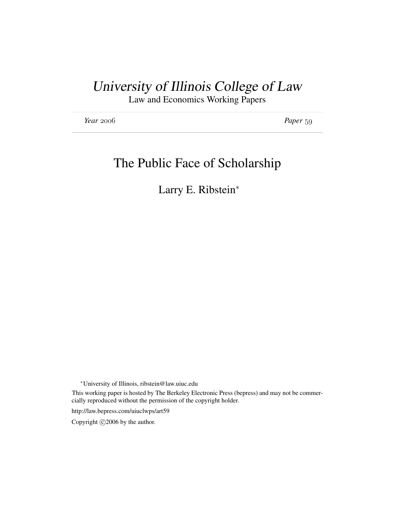# University of Illinois College of Law

Law and Economics Working Papers

*Year* 2006 *Paper* 59

# The Public Face of Scholarship

Larry E. Ribstein<sup>∗</sup>

<sup>∗</sup>University of Illinois, ribstein@law.uiuc.edu

This working paper is hosted by The Berkeley Electronic Press (bepress) and may not be commercially reproduced without the permission of the copyright holder.

http://law.bepress.com/uiuclwps/art59

Copyright  $©2006$  by the author.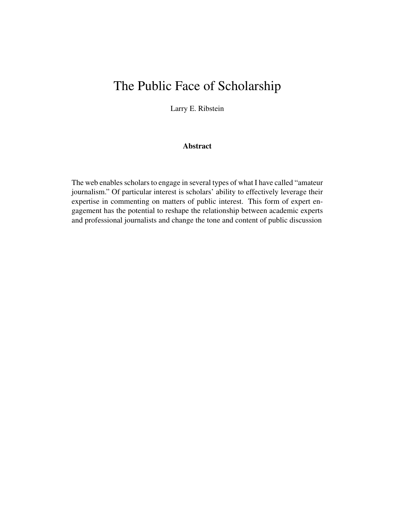# The Public Face of Scholarship

Larry E. Ribstein

## Abstract

The web enables scholars to engage in several types of what I have called "amateur journalism." Of particular interest is scholars' ability to effectively leverage their expertise in commenting on matters of public interest. This form of expert engagement has the potential to reshape the relationship between academic experts and professional journalists and change the tone and content of public discussion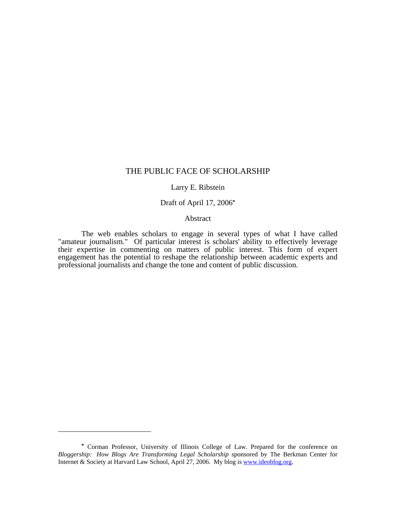## THE PUBLIC FACE OF SCHOLARSHIP

#### Larry E. Ribstein

## Draft of April 17, 2006**\***

#### Abstract

The web enables scholars to engage in several types of what I have called "amateur journalism." Of particular interest is scholars' ability to effectively leverage their expertise in commenting on matters of public interest. This form of expert engagement has the potential to reshape the relationship between academic experts and professional journalists and change the tone and content of public discussion.

**<sup>\*</sup>** Corman Professor, University of Illinois College of Law. Prepared for the conference on *Bloggership: How Blogs Are Transforming Legal Scholarship* sponsored by The Berkman Center for Internet & Society at Harvard Law School, April 27, 2006. My blog is www.ideoblog.org.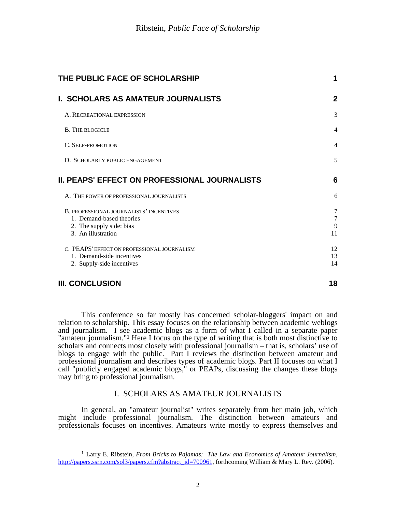| THE PUBLIC FACE OF SCHOLARSHIP                                                                                        | 1                 |
|-----------------------------------------------------------------------------------------------------------------------|-------------------|
| <b>I. SCHOLARS AS AMATEUR JOURNALISTS</b>                                                                             | $\overline{2}$    |
| A. RECREATIONAL EXPRESSION                                                                                            | 3                 |
| <b>B. THE BLOGICLE</b>                                                                                                | $\overline{4}$    |
| C. SELF-PROMOTION                                                                                                     | $\overline{4}$    |
| D. SCHOLARLY PUBLIC ENGAGEMENT                                                                                        | 5                 |
| II. PEAPS' EFFECT ON PROFESSIONAL JOURNALISTS                                                                         | $6\phantom{1}6$   |
| A. THE POWER OF PROFESSIONAL JOURNALISTS                                                                              | 6                 |
| B. PROFESSIONAL JOURNALISTS' INCENTIVES<br>1. Demand-based theories<br>2. The supply side: bias<br>3. An illustration | 7<br>7<br>9<br>11 |
| C. PEAPS' EFFECT ON PROFESSIONAL JOURNALISM<br>1. Demand-side incentives<br>2. Supply-side incentives                 | 12<br>13<br>14    |
| <b>III. CONCLUSION</b>                                                                                                | 18                |

 $\overline{\phantom{a}}$ 

This conference so far mostly has concerned scholar-bloggers' impact on and relation to scholarship. This essay focuses on the relationship between academic weblogs and journalism. I see academic blogs as a form of what I called in a separate paper "amateur journalism."<sup>1</sup> Here I focus on the type of writing that is both most distinctive to scholars and connects most closely with professional journalism – that is, scholars' use of blogs to engage with the public. Part I reviews the distinction between amateur and professional journalism and describes types of academic blogs. Part II focuses on what I call "publicly engaged academic blogs," or PEAPs, discussing the changes these blogs may bring to professional journalism.

# I. SCHOLARS AS AMATEUR JOURNALISTS

In general, an "amateur journalist" writes separately from her main job, which might include professional journalism. The distinction between amateurs and professionals focuses on incentives. Amateurs write mostly to express themselves and

**<sup>1</sup>** Larry E. Ribstein, *From Bricks to Pajamas: The Law and Economics of Amateur Journalism,*  http://papers.ssrn.com/sol3/papers.cfm?abstract\_id=700961, forthcoming William & Mary L. Rev. (2006).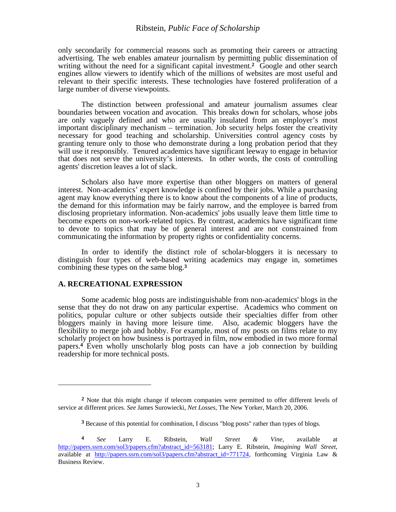only secondarily for commercial reasons such as promoting their careers or attracting advertising. The web enables amateur journalism by permitting public dissemination of writing without the need for a significant capital investment.<sup>2</sup> Google and other search engines allow viewers to identify which of the millions of websites are most useful and relevant to their specific interests. These technologies have fostered proliferation of a large number of diverse viewpoints.

The distinction between professional and amateur journalism assumes clear boundaries between vocation and avocation. This breaks down for scholars, whose jobs are only vaguely defined and who are usually insulated from an employer's most important disciplinary mechanism – termination. Job security helps foster the creativity necessary for good teaching and scholarship. Universities control agency costs by granting tenure only to those who demonstrate during a long probation period that they will use it responsibly. Tenured academics have significant leeway to engage in behavior that does not serve the university's interests. In other words, the costs of controlling agents' discretion leaves a lot of slack.

Scholars also have more expertise than other bloggers on matters of general interest. Non-academics' expert knowledge is confined by their jobs. While a purchasing agent may know everything there is to know about the components of a line of products, the demand for this information may be fairly narrow, and the employee is barred from disclosing proprietary information. Non-academics' jobs usually leave them little time to become experts on non-work-related topics. By contrast, academics have significant time to devote to topics that may be of general interest and are not constrained from communicating the information by property rights or confidentiality concerns.

In order to identify the distinct role of scholar-bloggers it is necessary to distinguish four types of web-based writing academics may engage in, sometimes combining these types on the same blog.**<sup>3</sup>**

#### **A. RECREATIONAL EXPRESSION**

 $\overline{\phantom{a}}$ 

Some academic blog posts are indistinguishable from non-academics' blogs in the sense that they do not draw on any particular expertise. Academics who comment on politics, popular culture or other subjects outside their specialties differ from other bloggers mainly in having more leisure time. Also, academic bloggers have the flexibility to merge job and hobby. For example, most of my posts on films relate to my scholarly project on how business is portrayed in film, now embodied in two more formal papers.**4** Even wholly unscholarly blog posts can have a job connection by building readership for more technical posts.

**<sup>2</sup>** Note that this might change if telecom companies were permitted to offer different levels of service at different prices. *See* James Surowiecki, *Net Losses,* The New Yorker, March 20, 2006.

**<sup>3</sup>** Because of this potential for combination, I discuss "blog posts" rather than types of blogs.

**<sup>4</sup>** *See* Larry E. Ribstein, *Wall Street & Vine,* available at http://papers.ssrn.com/sol3/papers.cfm?abstract\_id=563181; Larry E. Ribstein, *Imagining Wall Street,*  available at http://papers.ssrn.com/sol3/papers.cfm?abstract\_id=771724, forthcoming Virginia Law & Business Review.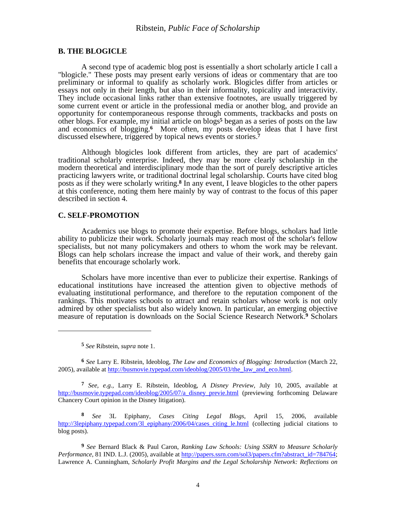### **B. THE BLOGICLE**

A second type of academic blog post is essentially a short scholarly article I call a "blogicle." These posts may present early versions of ideas or commentary that are too preliminary or informal to qualify as scholarly work. Blogicles differ from articles or essays not only in their length, but also in their informality, topicality and interactivity. They include occasional links rather than extensive footnotes, are usually triggered by some current event or article in the professional media or another blog, and provide an opportunity for contemporaneous response through comments, trackbacks and posts on other blogs. For example, my initial article on blogs**5** began as a series of posts on the law and economics of blogging.**6** More often, my posts develop ideas that I have first discussed elsewhere, triggered by topical news events or stories.**<sup>7</sup>**

Although blogicles look different from articles, they are part of academics' traditional scholarly enterprise. Indeed, they may be more clearly scholarship in the modern theoretical and interdisciplinary mode than the sort of purely descriptive articles practicing lawyers write, or traditional doctrinal legal scholarship. Courts have cited blog posts as if they were scholarly writing.**8** In any event, I leave blogicles to the other papers at this conference, noting them here mainly by way of contrast to the focus of this paper described in section 4.

#### **C. SELF-PROMOTION**

Academics use blogs to promote their expertise. Before blogs, scholars had little ability to publicize their work. Scholarly journals may reach most of the scholar's fellow specialists, but not many policymakers and others to whom the work may be relevant. Blogs can help scholars increase the impact and value of their work, and thereby gain benefits that encourage scholarly work.

Scholars have more incentive than ever to publicize their expertise. Rankings of educational institutions have increased the attention given to objective methods of evaluating institutional performance, and therefore to the reputation component of the rankings. This motivates schools to attract and retain scholars whose work is not only admired by other specialists but also widely known. In particular, an emerging objective measure of reputation is downloads on the Social Science Research Network.**9** Scholars

 $\overline{a}$ 

**6** *See* Larry E. Ribstein, Ideoblog, *The Law and Economics of Blogging: Introduction* (March 22, 2005), available at http://busmovie.typepad.com/ideoblog/2005/03/the law and eco.html.

**7** *See, e.g.,* Larry E. Ribstein, Ideoblog, *A Disney Preview,* July 10, 2005, available at http://busmovie.typepad.com/ideoblog/2005/07/a\_disney\_previe.html (previewing forthcoming Delaware Chancery Court opinion in the Disney litigation).

**8** *See* 3L Epiphany, *Cases Citing Legal Blogs,* April 15, 2006, available http://3lepiphany.typepad.com/3l\_epiphany/2006/04/cases\_citing\_le.html (collecting judicial citations to blog posts).

**9** *See* Bernard Black & Paul Caron, *Ranking Law Schools: Using SSRN to Measure Scholarly Performance*, 81 IND. L.J. (2005), available at http://papers.ssrn.com/sol3/papers.cfm?abstract\_id=784764; Lawrence A. Cunningham, *Scholarly Profit Margins and the Legal Scholarship Network: Reflections on* 

**<sup>5</sup>** *See* Ribstein, *supra* note 1.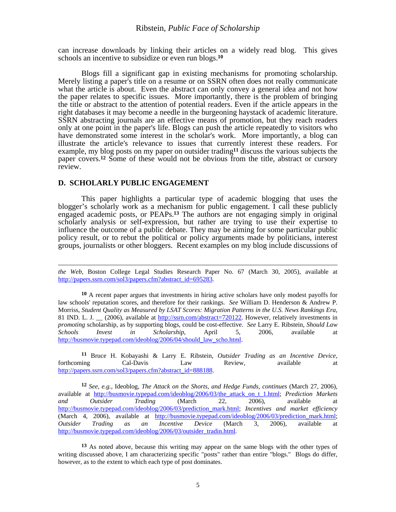can increase downloads by linking their articles on a widely read blog. This gives schools an incentive to subsidize or even run blogs.**<sup>10</sup>**

Blogs fill a significant gap in existing mechanisms for promoting scholarship. Merely listing a paper's title on a resume or on SSRN often does not really communicate what the article is about. Even the abstract can only convey a general idea and not how the paper relates to specific issues. More importantly, there is the problem of bringing the title or abstract to the attention of potential readers. Even if the article appears in the right databases it may become a needle in the burgeoning haystack of academic literature. SSRN abstracting journals are an effective means of promotion, but they reach readers only at one point in the paper's life. Blogs can push the article repeatedly to visitors who have demonstrated some interest in the scholar's work. More importantly, a blog can illustrate the article's relevance to issues that currently interest these readers. For example, my blog posts on my paper on outsider trading**<sup>11</sup>** discuss the various subjects the paper covers.**12** Some of these would not be obvious from the title, abstract or cursory review.

#### **D. SCHOLARLY PUBLIC ENGAGEMENT**

 $\overline{\phantom{a}}$ 

This paper highlights a particular type of academic blogging that uses the blogger's scholarly work as a mechanism for public engagement. I call these publicly engaged academic posts, or PEAPs.**13** The authors are not engaging simply in original scholarly analysis or self-expression, but rather are trying to use their expertise to influence the outcome of a public debate. They may be aiming for some particular public policy result, or to rebut the political or policy arguments made by politicians, interest groups, journalists or other bloggers. Recent examples on my blog include discussions of

**11** Bruce H. Kobayashi & Larry E. Ribstein, *Outsider Trading as an Incentive Device,*  forthcoming Cal-Davis Law Review, available at http://papers.ssrn.com/sol3/papers.cfm?abstract\_id=888188.

**12** *See, e.g.,* Ideoblog, *The Attack on the Shorts, and Hedge Funds, continues* (March 27, 2006), available at http://busmovie.typepad.com/ideoblog/2006/03/the\_attack\_on\_t\_1.html; *Prediction Markets and Outsider Trading* (March 22, 2006), available at http://busmovie.typepad.com/ideoblog/2006/03/prediction\_mark.html; *Incentives and market efficiency*  (March 4, 2006), available at http://busmovie.typepad.com/ideoblog/2006/03/prediction\_mark.html; *Outsider Trading as an Incentive Device* (March 3, 2006), available at http://busmovie.typepad.com/ideoblog/2006/03/outsider\_tradin.html.

**13** As noted above, because this writing may appear on the same blogs with the other types of writing discussed above, I am characterizing specific "posts" rather than entire "blogs." Blogs do differ, however, as to the extent to which each type of post dominates.

*the Web*, Boston College Legal Studies Research Paper No. 67 (March 30, 2005), available at http://papers.ssrn.com/sol3/papers.cfm?abstract\_id=695283.

**<sup>10</sup>** A recent paper argues that investments in hiring active scholars have only modest payoffs for law schools' reputation scores, and therefore for their rankings. *See* William D. Henderson & Andrew P. Morriss, *Student Quality as Measured by LSAT Scores: Migration Patterns in the U.S. News Rankings Era*, 81 IND. L. J. \_\_ (2006), available at http://ssrn.com/abstract=720122. However, relatively investments in *promoting* scholarship, as by supporting blogs, could be cost-effective. *See* Larry E. Ribstein, *Should Law Schools Invest in Scholarship*, April 5, 2006, available at http://busmovie.typepad.com/ideoblog/2006/04/should\_law\_scho.html.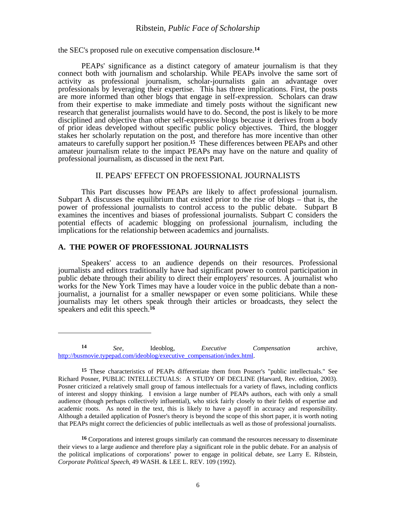the SEC's proposed rule on executive compensation disclosure.**<sup>14</sup>**

PEAPs' significance as a distinct category of amateur journalism is that they connect both with journalism and scholarship. While PEAPs involve the same sort of activity as professional journalism, scholar-journalists gain an advantage over professionals by leveraging their expertise. This has three implications. First, the posts are more informed than other blogs that engage in self-expression. Scholars can draw from their expertise to make immediate and timely posts without the significant new research that generalist journalists would have to do. Second, the post is likely to be more disciplined and objective than other self-expressive blogs because it derives from a body of prior ideas developed without specific public policy objectives. Third, the blogger stakes her scholarly reputation on the post, and therefore has more incentive than other amateurs to carefully support her position.**15** These differences between PEAPs and other amateur journalism relate to the impact PEAPs may have on the nature and quality of professional journalism, as discussed in the next Part.

## II. PEAPS' EFFECT ON PROFESSIONAL JOURNALISTS

This Part discusses how PEAPs are likely to affect professional journalism. Subpart A discusses the equilibrium that existed prior to the rise of blogs – that is, the power of professional journalists to control access to the public debate. Subpart B examines the incentives and biases of professional journalists. Subpart C considers the potential effects of academic blogging on professional journalism, including the implications for the relationship between academics and journalists.

#### **A. THE POWER OF PROFESSIONAL JOURNALISTS**

 $\overline{a}$ 

Speakers' access to an audience depends on their resources. Professional journalists and editors traditionally have had significant power to control participation in public debate through their ability to direct their employers' resources. A journalist who works for the New York Times may have a louder voice in the public debate than a nonjournalist, a journalist for a smaller newspaper or even some politicians. While these journalists may let others speak through their articles or broadcasts, they select the speakers and edit this speech.**<sup>16</sup>**

**<sup>14</sup>** *See,* Ideoblog, *Executive Compensation* archive, http://busmovie.typepad.com/ideoblog/executive\_compensation/index.html.

**<sup>15</sup>** These characteristics of PEAPs differentiate them from Posner's "public intellectuals." See Richard Posner, PUBLIC INTELLECTUALS: A STUDY OF DECLINE (Harvard, Rev. edition, 2003). Posner criticized a relatively small group of famous intellectuals for a variety of flaws, including conflicts of interest and sloppy thinking. I envision a large number of PEAPs authors, each with only a small audience (though perhaps collectively influential), who stick fairly closely to their fields of expertise and academic roots. As noted in the text, this is likely to have a payoff in accuracy and responsibility. Although a detailed application of Posner's theory is beyond the scope of this short paper, it is worth noting that PEAPs might correct the deficiencies of public intellectuals as well as those of professional journalists.

**<sup>16</sup>** Corporations and interest groups similarly can command the resources necessary to disseminate their views to a large audience and therefore play a significant role in the public debate. For an analysis of the political implications of corporations' power to engage in political debate, *see* Larry E. Ribstein, *Corporate Political Speech*, 49 WASH. & LEE L. REV. 109 (1992).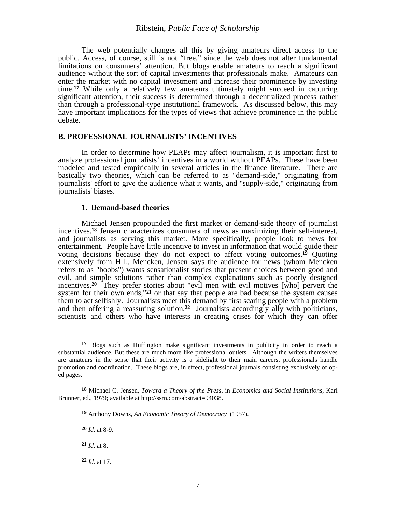The web potentially changes all this by giving amateurs direct access to the public. Access, of course, still is not "free," since the web does not alter fundamental limitations on consumers' attention. But blogs enable amateurs to reach a significant audience without the sort of capital investments that professionals make. Amateurs can enter the market with no capital investment and increase their prominence by investing time.**17** While only a relatively few amateurs ultimately might succeed in capturing significant attention, their success is determined through a decentralized process rather than through a professional-type institutional framework. As discussed below, this may have important implications for the types of views that achieve prominence in the public debate.

#### **B. PROFESSIONAL JOURNALISTS' INCENTIVES**

In order to determine how PEAPs may affect journalism, it is important first to analyze professional journalists' incentives in a world without PEAPs. These have been modeled and tested empirically in several articles in the finance literature. There are basically two theories, which can be referred to as "demand-side," originating from journalists' effort to give the audience what it wants, and "supply-side," originating from journalists' biases.

#### **1. Demand-based theories**

Michael Jensen propounded the first market or demand-side theory of journalist incentives.**18** Jensen characterizes consumers of news as maximizing their self-interest, and journalists as serving this market. More specifically, people look to news for entertainment. People have little incentive to invest in information that would guide their voting decisions because they do not expect to affect voting outcomes.**19** Quoting extensively from H.L. Mencken, Jensen says the audience for news (whom Mencken refers to as "boobs") wants sensationalist stories that present choices between good and evil, and simple solutions rather than complex explanations such as poorly designed incentives.**20** They prefer stories about "evil men with evil motives [who] pervert the system for their own ends,"**21** or that say that people are bad because the system causes them to act selfishly. Journalists meet this demand by first scaring people with a problem and then offering a reassuring solution.**22** Journalists accordingly ally with politicians, scientists and others who have interests in creating crises for which they can offer

 $\overline{\phantom{a}}$ 

**22** *Id.* at 17.

**<sup>17</sup>** Blogs such as Huffington make significant investments in publicity in order to reach a substantial audience. But these are much more like professional outlets. Although the writers themselves are amateurs in the sense that their activity is a sidelight to their main careers, professionals handle promotion and coordination. These blogs are, in effect, professional journals consisting exclusively of oped pages.

**<sup>18</sup>** Michael C. Jensen, *Toward a Theory of the Press*, in *Economics and Social Institutions*, Karl Brunner, ed., 1979; available at http://ssrn.com/abstract=94038.

**<sup>19</sup>** Anthony Downs, *An Economic Theory of Democracy* (1957).

**<sup>20</sup>** *Id.* at 8-9.

**<sup>21</sup>** *Id.* at 8.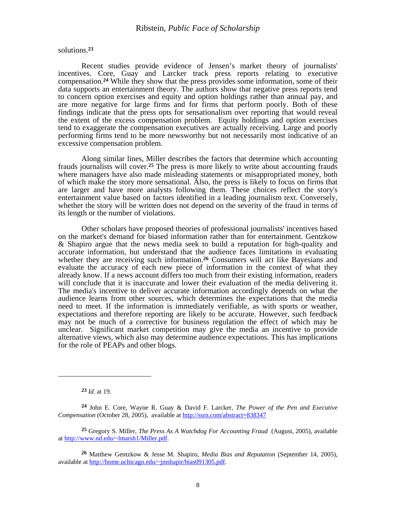solutions.**<sup>23</sup>**

Recent studies provide evidence of Jensen's market theory of journalists' incentives. Core, Guay and Larcker track press reports relating to executive compensation.**24** While they show that the press provides some information, some of their data supports an entertainment theory. The authors show that negative press reports tend to concern option exercises and equity and option holdings rather than annual pay, and are more negative for large firms and for firms that perform poorly. Both of these findings indicate that the press opts for sensationalism over reporting that would reveal the extent of the excess compensation problem. Equity holdings and option exercises tend to exaggerate the compensation executives are actually receiving. Large and poorly performing firms tend to be more newsworthy but not necessarily most indicative of an excessive compensation problem.

Along similar lines, Miller describes the factors that determine which accounting frauds journalists will cover.**25** The press is more likely to write about accounting frauds where managers have also made misleading statements or misappropriated money, both of which make the story more sensational. Also, the press is likely to focus on firms that are larger and have more analysts following them. These choices reflect the story's entertainment value based on factors identified in a leading journalism text. Conversely, whether the story will be written does not depend on the severity of the fraud in terms of its length or the number of violations.

Other scholars have proposed theories of professional journalists' incentives based on the market's demand for biased information rather than for entertainment. Gentzkow & Shapiro argue that the news media seek to build a reputation for high-quality and accurate information, but understand that the audience faces limitations in evaluating whether they are receiving such information.**26** Consumers will act like Bayesians and evaluate the accuracy of each new piece of information in the context of what they already know. If a news account differs too much from their existing information, readers will conclude that it is inaccurate and lower their evaluation of the media delivering it. The media's incentive to deliver accurate information accordingly depends on what the audience learns from other sources, which determines the expectations that the media need to meet. If the information is immediately verifiable, as with sports or weather, expectations and therefore reporting are likely to be accurate. However, such feedback may not be much of a corrective for business regulation the effect of which may be unclear. Significant market competition may give the media an incentive to provide alternative views, which also may determine audience expectations. This has implications for the role of PEAPs and other blogs.

**23** *Id.* at 19.

**<sup>24</sup>** John E. Core, Wayne R. Guay & David F. Larcker, *The Power of the Pen and Executive Compensation* (October 28, 2005), available at http://ssrn.com/abstract=838347

**<sup>25</sup>** Gregory S. Miller, *The Press As A Watchdog For Accounting Fraud* (August, 2005), available at http://www.nd.edu/~lmarsh1/Miller.pdf.

**<sup>26</sup>** Matthew Gentzkow & Jesse M. Shapiro, *Media Bias and Reputation* (September 14, 2005), available at http://home.uchicago.edu/~jmshapir/bias091305.pdf.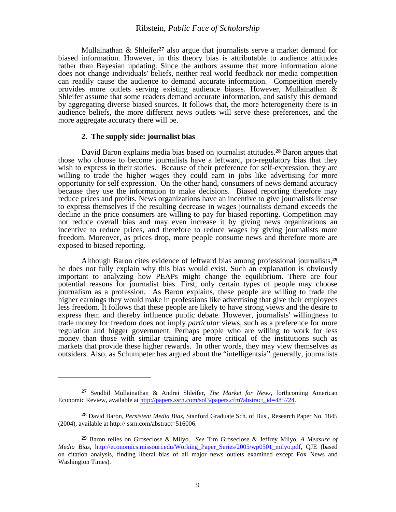Mullainathan & Shleifer**27** also argue that journalists serve a market demand for biased information. However, in this theory bias is attributable to audience attitudes rather than Bayesian updating. Since the authors assume that more information alone does not change individuals' beliefs, neither real world feedback nor media competition can readily cause the audience to demand accurate information. Competition merely provides more outlets serving existing audience biases. However, Mullainathan & Shleifer assume that some readers demand accurate information, and satisfy this demand by aggregating diverse biased sources. It follows that, the more heterogeneity there is in audience beliefs, the more different news outlets will serve these preferences, and the more aggregate accuracy there will be.

#### **2. The supply side: journalist bias**

 $\overline{a}$ 

David Baron explains media bias based on journalist attitudes.**28** Baron argues that those who choose to become journalists have a leftward, pro-regulatory bias that they wish to express in their stories. Because of their preference for self-expression, they are willing to trade the higher wages they could earn in jobs like advertising for more opportunity for self expression. On the other hand, consumers of news demand accuracy because they use the information to make decisions. Biased reporting therefore may reduce prices and profits. News organizations have an incentive to give journalists license to express themselves if the resulting decrease in wages journalists demand exceeds the decline in the price consumers are willing to pay for biased reporting. Competition may not reduce overall bias and may even increase it by giving news organizations an incentive to reduce prices, and therefore to reduce wages by giving journalists more freedom. Moreover, as prices drop, more people consume news and therefore more are exposed to biased reporting.

Although Baron cites evidence of leftward bias among professional journalists,**<sup>29</sup>** he does not fully explain why this bias would exist. Such an explanation is obviously important to analyzing how PEAPs might change the equilibrium. There are four potential reasons for journalist bias. First, only certain types of people may choose journalism as a profession. As Baron explains, these people are willing to trade the higher earnings they would make in professions like advertising that give their employees less freedom. It follows that these people are likely to have strong views and the desire to express them and thereby influence public debate. However, journalists' willingness to trade money for freedom does not imply *particular* views, such as a preference for more regulation and bigger government. Perhaps people who are willing to work for less money than those with similar training are more critical of the institutions such as markets that provide these higher rewards. In other words, they may view themselves as outsiders. Also, as Schumpeter has argued about the "intelligentsia" generally, journalists

**<sup>27</sup>** Sendhil Mullainathan & Andrei Shleifer, *The Market for News*, forthcoming American Economic Review, available at http://papers.ssrn.com/sol3/papers.cfm?abstract\_id=485724.

**<sup>28</sup>** David Baron, *Persistent Media Bias,* Stanford Graduate Sch. of Bus., Research Paper No. 1845 (2004), available at http:// ssrn.com/abstract=516006.

**<sup>29</sup>** Baron relies on Groseclose & Milyo. *See* Tim Groseclose & Jeffrey Milyo, *A Measure of Media Bias,* http://economics.missouri.edu/Working\_Paper\_Series/2005/wp0501\_milyo.pdf, QJE (based on citation analysis, finding liberal bias of all major news outlets examined except Fox News and Washington Times).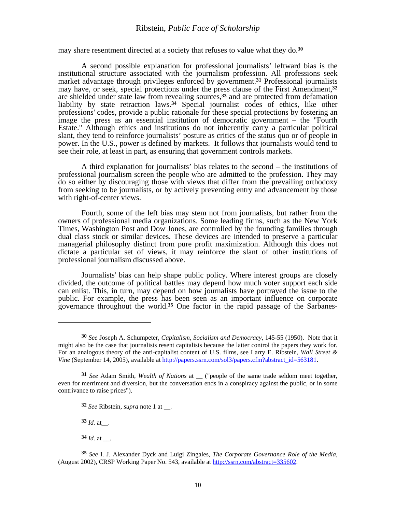may share resentment directed at a society that refuses to value what they do.**<sup>30</sup>**

A second possible explanation for professional journalists' leftward bias is the institutional structure associated with the journalism profession. All professions seek market advantage through privileges enforced by government.**31** Professional journalists may have, or seek, special protections under the press clause of the First Amendment,**<sup>32</sup>** are shielded under state law from revealing sources,**33** and are protected from defamation liability by state retraction laws.**34** Special journalist codes of ethics, like other professions' codes, provide a public rationale for these special protections by fostering an image the press as an essential institution of democratic government – the "Fourth Estate." Although ethics and institutions do not inherently carry a particular political slant, they tend to reinforce journalists' posture as critics of the status quo or of people in power. In the U.S., power is defined by markets. It follows that journalists would tend to see their role, at least in part, as ensuring that government controls markets.

A third explanation for journalists' bias relates to the second – the institutions of professional journalism screen the people who are admitted to the profession. They may do so either by discouraging those with views that differ from the prevailing orthodoxy from seeking to be journalists, or by actively preventing entry and advancement by those with right-of-center views.

Fourth, some of the left bias may stem not from journalists, but rather from the owners of professional media organizations. Some leading firms, such as the New York Times, Washington Post and Dow Jones, are controlled by the founding families through dual class stock or similar devices. These devices are intended to preserve a particular managerial philosophy distinct from pure profit maximization. Although this does not dictate a particular set of views, it may reinforce the slant of other institutions of professional journalism discussed above.

Journalists' bias can help shape public policy. Where interest groups are closely divided, the outcome of political battles may depend how much voter support each side can enlist. This, in turn, may depend on how journalists have portrayed the issue to the public. For example, the press has been seen as an important influence on corporate governance throughout the world.**35** One factor in the rapid passage of the Sarbanes-

**33** *Id.* at\_\_.

 $\overline{a}$ 

**<sup>30</sup>** *See* Joseph A. Schumpeter, *Capitalism, Socialism and Democracy,* 145-55 (1950). Note that it might also be the case that journalists resent capitalists because the latter control the papers they work for. For an analogous theory of the anti-capitalist content of U.S. films, see Larry E. Ribstein, *Wall Street & Vine* (September 14, 2005), available at http://papers.ssrn.com/sol3/papers.cfm?abstract\_id=563181.

**<sup>31</sup>** *See* Adam Smith, *Wealth of Nations* at \_\_ ("people of the same trade seldom meet together, even for merriment and diversion, but the conversation ends in a conspiracy against the public, or in some contrivance to raise prices").

**<sup>32</sup>** *See* Ribstein, *supra* note 1 at \_\_.

 $34$  *Id.* at \_\_\_.

**<sup>35</sup>** *See* I. J. Alexander Dyck and Luigi Zingales, *The Corporate Governance Role of the Media*, (August 2002), CRSP Working Paper No. 543, available at http://ssrn.com/abstract=335602.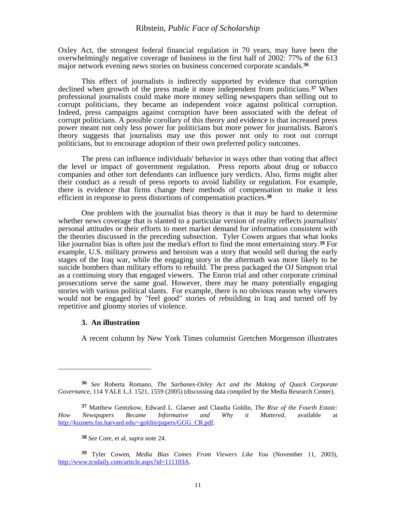Oxley Act, the strongest federal financial regulation in 70 years, may have been the overwhelmingly negative coverage of business in the first half of 2002: 77% of the 613 major network evening news stories on business concerned corporate scandals.**<sup>36</sup>**

This effect of journalists is indirectly supported by evidence that corruption declined when growth of the press made it more independent from politicians.**37** When professional journalists could make more money selling newspapers than selling out to corrupt politicians, they became an independent voice against political corruption. Indeed, press campaigns against corruption have been associated with the defeat of corrupt politicians. A possible corollary of this theory and evidence is that increased press power meant not only less power for politicians but more power for journalists. Baron's theory suggests that journalists may use this power not only to root out corrupt politicians, but to encourage adoption of their own preferred policy outcomes.

The press can influence individuals' behavior in ways other than voting that affect the level or impact of government regulation. Press reports about drug or tobacco companies and other tort defendants can influence jury verdicts. Also, firms might alter their conduct as a result of press reports to avoid liability or regulation. For example, there is evidence that firms change their methods of compensation to make it less efficient in response to press distortions of compensation practices.**<sup>38</sup>**

One problem with the journalist bias theory is that it may be hard to determine whether news coverage that is slanted to a particular version of reality reflects journalists' personal attitudes or their efforts to meet market demand for information consistent with the theories discussed in the preceding subsection. Tyler Cowen argues that what looks like journalist bias is often just the media's effort to find the most entertaining story.**39** For example, U.S. military prowess and heroism was a story that would sell during the early stages of the Iraq war, while the engaging story in the aftermath was more likely to be suicide bombers than military efforts to rebuild. The press packaged the OJ Simpson trial as a continuing story that engaged viewers. The Enron trial and other corporate criminal prosecutions serve the same goal. However, there may be many potentially engaging stories with various political slants. For example, there is no obvious reason why viewers would not be engaged by "feel good" stories of rebuilding in Iraq and turned off by repetitive and gloomy stories of violence.

#### **3. An illustration**

 $\overline{\phantom{a}}$ 

A recent column by New York Times columnist Gretchen Morgenson illustrates

**<sup>36</sup>** *See* Roberta Romano, *The Sarbanes-Oxley Act and the Making of Quack Corporate Governance,* 114 YALE L.J. 1521, 1559 (2005) (discussing data compiled by the Media Research Center).

**<sup>37</sup>** Matthew Gentzkow, Edward L. Glaeser and Claudia Goldin, *The Rise of the Fourth Estate: How Newspapers Became Informative and Why it Mattered,* available at http://kuznets.fas.harvard.edu/~goldin/papers/GGG\_CR.pdf.

**<sup>38</sup>** *See* Core, et al, *supra* note 24.

**<sup>39</sup>** Tyler Cowen, *Media Bias Comes From Viewers Like You* (November 11, 2003), http://www.tcsdaily.com/article.aspx?id=111103A.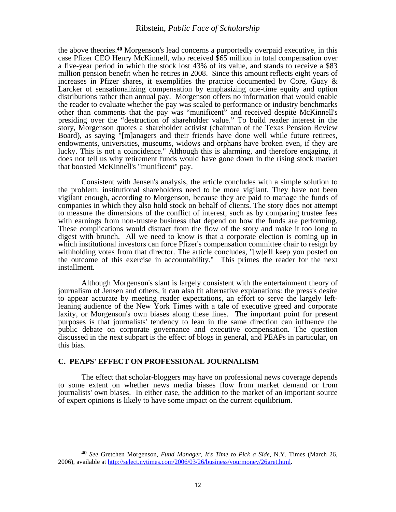the above theories.**40** Morgenson's lead concerns a purportedly overpaid executive, in this case Pfizer CEO Henry McKinnell, who received \$65 million in total compensation over a five-year period in which the stock lost 43% of its value, and stands to receive a \$83 million pension benefit when he retires in 2008. Since this amount reflects eight years of increases in Pfizer shares, it exemplifies the practice documented by Core, Guay  $\&$ Larcker of sensationalizing compensation by emphasizing one-time equity and option distributions rather than annual pay. Morgenson offers no information that would enable the reader to evaluate whether the pay was scaled to performance or industry benchmarks other than comments that the pay was "munificent" and received despite McKinnell's presiding over the "destruction of shareholder value." To build reader interest in the story, Morgenson quotes a shareholder activist (chairman of the Texas Pension Review Board), as saying "[m]anagers and their friends have done well while future retirees, endowments, universities, museums, widows and orphans have broken even, if they are lucky. This is not a coincidence." Although this is alarming, and therefore engaging, it does not tell us why retirement funds would have gone down in the rising stock market that boosted McKinnell's "munificent" pay.

Consistent with Jensen's analysis, the article concludes with a simple solution to the problem: institutional shareholders need to be more vigilant. They have not been vigilant enough, according to Morgenson, because they are paid to manage the funds of companies in which they also hold stock on behalf of clients. The story does not attempt to measure the dimensions of the conflict of interest, such as by comparing trustee fees with earnings from non-trustee business that depend on how the funds are performing. These complications would distract from the flow of the story and make it too long to digest with brunch. All we need to know is that a corporate election is coming up in which institutional investors can force Pfizer's compensation committee chair to resign by withholding votes from that director. The article concludes, "[w]e'll keep you posted on the outcome of this exercise in accountability." This primes the reader for the next installment.

Although Morgenson's slant is largely consistent with the entertainment theory of journalism of Jensen and others, it can also fit alternative explanations: the press's desire to appear accurate by meeting reader expectations, an effort to serve the largely leftleaning audience of the New York Times with a tale of executive greed and corporate laxity, or Morgenson's own biases along these lines. The important point for present purposes is that journalists' tendency to lean in the same direction can influence the public debate on corporate governance and executive compensation. The question discussed in the next subpart is the effect of blogs in general, and PEAPs in particular, on this bias.

## **C. PEAPS' EFFECT ON PROFESSIONAL JOURNALISM**

 $\overline{\phantom{a}}$ 

The effect that scholar-bloggers may have on professional news coverage depends to some extent on whether news media biases flow from market demand or from journalists' own biases. In either case, the addition to the market of an important source of expert opinions is likely to have some impact on the current equilibrium.

**<sup>40</sup>** *See* Gretchen Morgenson, *Fund Manager, It's Time to Pick a Side,* N.Y. Times (March 26, 2006), available at http://select.nytimes.com/2006/03/26/business/yourmoney/26gret.html.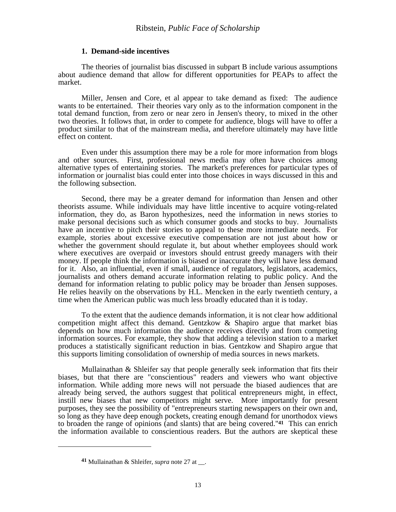#### **1. Demand-side incentives**

The theories of journalist bias discussed in subpart B include various assumptions about audience demand that allow for different opportunities for PEAPs to affect the market.

Miller, Jensen and Core, et al appear to take demand as fixed: The audience wants to be entertained. Their theories vary only as to the information component in the total demand function, from zero or near zero in Jensen's theory, to mixed in the other two theories. It follows that, in order to compete for audience, blogs will have to offer a product similar to that of the mainstream media, and therefore ultimately may have little effect on content.

Even under this assumption there may be a role for more information from blogs and other sources. First, professional news media may often have choices among alternative types of entertaining stories. The market's preferences for particular types of information or journalist bias could enter into those choices in ways discussed in this and the following subsection.

Second, there may be a greater demand for information than Jensen and other theorists assume. While individuals may have little incentive to acquire voting-related information, they do, as Baron hypothesizes, need the information in news stories to make personal decisions such as which consumer goods and stocks to buy. Journalists have an incentive to pitch their stories to appeal to these more immediate needs. For example, stories about excessive executive compensation are not just about how or whether the government should regulate it, but about whether employees should work where executives are overpaid or investors should entrust greedy managers with their money. If people think the information is biased or inaccurate they will have less demand for it. Also, an influential, even if small, audience of regulators, legislators, academics, journalists and others demand accurate information relating to public policy. And the demand for information relating to public policy may be broader than Jensen supposes. He relies heavily on the observations by H.L. Mencken in the early twentieth century, a time when the American public was much less broadly educated than it is today.

To the extent that the audience demands information, it is not clear how additional competition might affect this demand. Gentzkow & Shapiro argue that market bias depends on how much information the audience receives directly and from competing information sources. For example, they show that adding a television station to a market produces a statistically significant reduction in bias. Gentzkow and Shapiro argue that this supports limiting consolidation of ownership of media sources in news markets.

Mullainathan & Shleifer say that people generally seek information that fits their biases, but that there are "conscientious" readers and viewers who want objective information. While adding more news will not persuade the biased audiences that are already being served, the authors suggest that political entrepreneurs might, in effect, instill new biases that new competitors might serve. More importantly for present purposes, they see the possibility of "entrepreneurs starting newspapers on their own and, so long as they have deep enough pockets, creating enough demand for unorthodox views to broaden the range of opinions (and slants) that are being covered."**41** This can enrich the information available to conscientious readers. But the authors are skeptical these

**<sup>41</sup>** Mullainathan & Shleifer, *supra* note 27 at \_\_.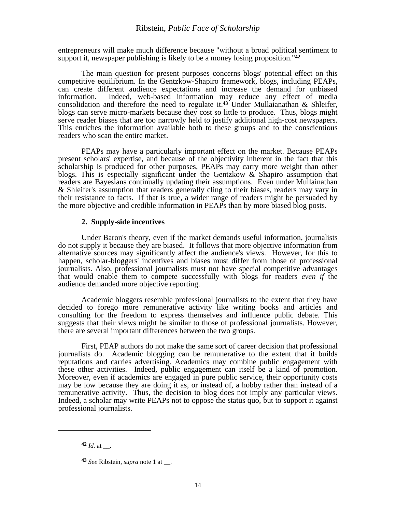entrepreneurs will make much difference because "without a broad political sentiment to support it, newspaper publishing is likely to be a money losing proposition."**<sup>42</sup>**

The main question for present purposes concerns blogs' potential effect on this competitive equilibrium. In the Gentzkow-Shapiro framework, blogs, including PEAPs, can create different audience expectations and increase the demand for unbiased information. Indeed, web-based information may reduce any effect of media consolidation and therefore the need to regulate it.**43** Under Mullaianathan & Shleifer, blogs can serve micro-markets because they cost so little to produce. Thus, blogs might serve reader biases that are too narrowly held to justify additional high-cost newspapers. This enriches the information available both to these groups and to the conscientious readers who scan the entire market.

PEAPs may have a particularly important effect on the market. Because PEAPs present scholars' expertise, and because of the objectivity inherent in the fact that this scholarship is produced for other purposes, PEAPs may carry more weight than other blogs. This is especially significant under the Gentzkow & Shapiro assumption that readers are Bayesians continually updating their assumptions. Even under Mullainathan & Shleifer's assumption that readers generally cling to their biases, readers may vary in their resistance to facts. If that is true, a wider range of readers might be persuaded by the more objective and credible information in PEAPs than by more biased blog posts.

#### **2. Supply-side incentives**

Under Baron's theory, even if the market demands useful information, journalists do not supply it because they are biased. It follows that more objective information from alternative sources may significantly affect the audience's views. However, for this to happen, scholar-bloggers' incentives and biases must differ from those of professional journalists. Also, professional journalists must not have special competitive advantages that would enable them to compete successfully with blogs for readers *even if* the audience demanded more objective reporting.

Academic bloggers resemble professional journalists to the extent that they have decided to forego more remunerative activity like writing books and articles and consulting for the freedom to express themselves and influence public debate. This suggests that their views might be similar to those of professional journalists. However, there are several important differences between the two groups.

First, PEAP authors do not make the same sort of career decision that professional journalists do. Academic blogging can be remunerative to the extent that it builds reputations and carries advertising. Academics may combine public engagement with these other activities. Indeed, public engagement can itself be a kind of promotion. Moreover, even if academics are engaged in pure public service, their opportunity costs may be low because they are doing it as, or instead of, a hobby rather than instead of a remunerative activity. Thus, the decision to blog does not imply any particular views. Indeed, a scholar may write PEAPs not to oppose the status quo, but to support it against professional journalists.

 $42$  *Id.* at  $\blacksquare$ 

**<sup>43</sup>** *See* Ribstein, *supra* note 1 at \_\_.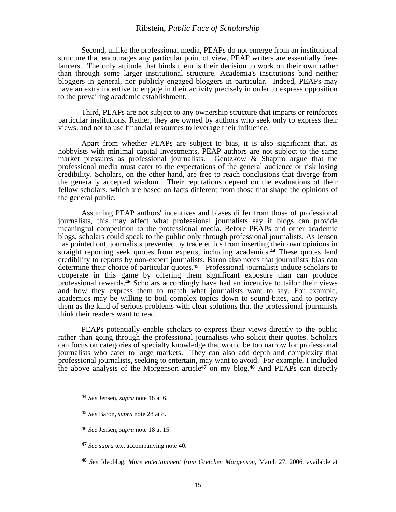Second, unlike the professional media, PEAPs do not emerge from an institutional structure that encourages any particular point of view. PEAP writers are essentially freelancers. The only attitude that binds them is their decision to work on their own rather than through some larger institutional structure. Academia's institutions bind neither bloggers in general, nor publicly engaged bloggers in particular. Indeed, PEAPs may have an extra incentive to engage in their activity precisely in order to express opposition to the prevailing academic establishment.

Third, PEAPs are not subject to any ownership structure that imparts or reinforces particular institutions. Rather, they are owned by authors who seek only to express their views, and not to use financial resources to leverage their influence.

Apart from whether PEAPs are subject to bias, it is also significant that, as hobbyists with minimal capital investments, PEAP authors are not subject to the same market pressures as professional journalists. Gentzkow & Shapiro argue that the professional media must cater to the expectations of the general audience or risk losing credibility. Scholars, on the other hand, are free to reach conclusions that diverge from the generally accepted wisdom. Their reputations depend on the evaluations of their fellow scholars, which are based on facts different from those that shape the opinions of the general public.

Assuming PEAP authors' incentives and biases differ from those of professional journalists, this may affect what professional journalists say if blogs can provide meaningful competition to the professional media. Before PEAPs and other academic blogs, scholars could speak to the public only through professional journalists. As Jensen has pointed out, journalists prevented by trade ethics from inserting their own opinions in straight reporting seek quotes from experts, including academics.**44** These quotes lend credibility to reports by non-expert journalists. Baron also notes that journalists' bias can determine their choice of particular quotes.**45** Professional journalists induce scholars to cooperate in this game by offering them significant exposure than can produce professional rewards.**46** Scholars accordingly have had an incentive to tailor their views and how they express them to match what journalists want to say. For example, academics may be willing to boil complex topics down to sound-bites, and to portray them as the kind of serious problems with clear solutions that the professional journalists think their readers want to read.

PEAPs potentially enable scholars to express their views directly to the public rather than going through the professional journalists who solicit their quotes. Scholars can focus on categories of specialty knowledge that would be too narrow for professional journalists who cater to large markets. They can also add depth and complexity that professional journalists, seeking to entertain, may want to avoid. For example, I included the above analysis of the Morgenson article**47** on my blog.**48** And PEAPs can directly

**<sup>44</sup>** *See* Jensen, *supra* note 18 at 6.

**<sup>45</sup>** *See* Baron, *supra* note 28 at 8.

**<sup>46</sup>** *See* Jensen, *supra* note 18 at 15.

**<sup>47</sup>** *See supra* text accompanying note 40.

**<sup>48</sup>** *See* Ideoblog, *More entertainment from Gretchen Morgenson*, March 27, 2006, available at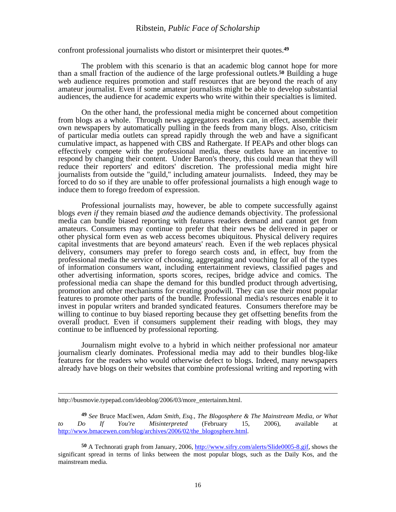confront professional journalists who distort or misinterpret their quotes.**<sup>49</sup>**

The problem with this scenario is that an academic blog cannot hope for more than a small fraction of the audience of the large professional outlets.**50** Building a huge web audience requires promotion and staff resources that are beyond the reach of any amateur journalist. Even if some amateur journalists might be able to develop substantial audiences, the audience for academic experts who write within their specialties is limited.

On the other hand, the professional media might be concerned about competition from blogs as a whole. Through news aggregators readers can, in effect, assemble their own newspapers by automatically pulling in the feeds from many blogs. Also, criticism of particular media outlets can spread rapidly through the web and have a significant cumulative impact, as happened with CBS and Rathergate. If PEAPs and other blogs can effectively compete with the professional media, these outlets have an incentive to respond by changing their content. Under Baron's theory, this could mean that they will reduce their reporters' and editors' discretion. The professional media might hire journalists from outside the "guild," including amateur journalists. Indeed, they may be forced to do so if they are unable to offer professional journalists a high enough wage to induce them to forego freedom of expression.

Professional journalists may, however, be able to compete successfully against blogs *even if* they remain biased *and* the audience demands objectivity. The professional media can bundle biased reporting with features readers demand and cannot get from amateurs. Consumers may continue to prefer that their news be delivered in paper or other physical form even as web access becomes ubiquitous. Physical delivery requires capital investments that are beyond amateurs' reach. Even if the web replaces physical delivery, consumers may prefer to forego search costs and, in effect, buy from the professional media the service of choosing, aggregating and vouching for all of the types of information consumers want, including entertainment reviews, classified pages and other advertising information, sports scores, recipes, bridge advice and comics. The professional media can shape the demand for this bundled product through advertising, promotion and other mechanisms for creating goodwill. They can use their most popular features to promote other parts of the bundle. Professional media's resources enable it to invest in popular writers and branded syndicated features. Consumers therefore may be willing to continue to buy biased reporting because they get offsetting benefits from the overall product. Even if consumers supplement their reading with blogs, they may continue to be influenced by professional reporting.

Journalism might evolve to a hybrid in which neither professional nor amateur journalism clearly dominates. Professional media may add to their bundles blog-like features for the readers who would otherwise defect to blogs. Indeed, many newspapers already have blogs on their websites that combine professional writing and reporting with

http://busmovie.typepad.com/ideoblog/2006/03/more\_entertainm.html.

**<sup>49</sup>** *See* Bruce MacEwen, *Adam Smith, Esq., The Blogosphere & The Mainstream Media, or What to Do If You're Misinterpreted* (February 15, 2006), available at http://www.bmacewen.com/blog/archives/2006/02/the\_blogosphere.html.

**<sup>50</sup>** A Technorati graph from January, 2006, http://www.sifry.com/alerts/Slide0005-8.gif, shows the significant spread in terms of links between the most popular blogs, such as the Daily Kos, and the mainstream media.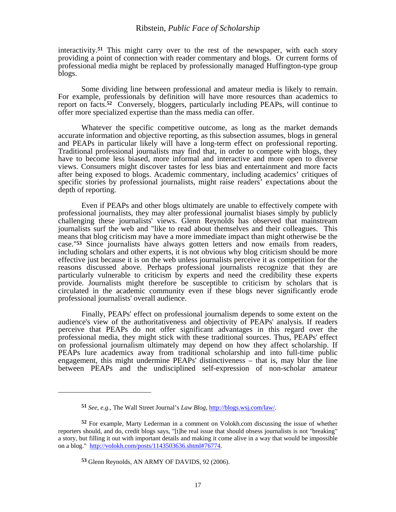interactivity.**51** This might carry over to the rest of the newspaper, with each story providing a point of connection with reader commentary and blogs. Or current forms of professional media might be replaced by professionally managed Huffington-type group blogs.

Some dividing line between professional and amateur media is likely to remain. For example, professionals by definition will have more resources than academics to report on facts.**52** Conversely, bloggers, particularly including PEAPs, will continue to offer more specialized expertise than the mass media can offer.

Whatever the specific competitive outcome, as long as the market demands accurate information and objective reporting, as this subsection assumes, blogs in general and PEAPs in particular likely will have a long-term effect on professional reporting. Traditional professional journalists may find that, in order to compete with blogs, they have to become less biased, more informal and interactive and more open to diverse views. Consumers might discover tastes for less bias and entertainment and more facts after being exposed to blogs. Academic commentary, including academics' critiques of specific stories by professional journalists, might raise readers' expectations about the depth of reporting.

Even if PEAPs and other blogs ultimately are unable to effectively compete with professional journalists, they may alter professional journalist biases simply by publicly challenging these journalists' views. Glenn Reynolds has observed that mainstream journalists surf the web and "like to read about themselves and their colleagues. This means that blog criticism may have a more immediate impact than might otherwise be the case."**53** Since journalists have always gotten letters and now emails from readers, including scholars and other experts, it is not obvious why blog criticism should be more effective just because it is on the web unless journalists perceive it as competition for the reasons discussed above. Perhaps professional journalists recognize that they are particularly vulnerable to criticism by experts and need the credibility these experts provide. Journalists might therefore be susceptible to criticism by scholars that is circulated in the academic community even if these blogs never significantly erode professional journalists' overall audience.

Finally, PEAPs' effect on professional journalism depends to some extent on the audience's view of the authoritativeness and objectivity of PEAPs' analysis. If readers perceive that PEAPs do not offer significant advantages in this regard over the professional media, they might stick with these traditional sources. Thus, PEAPs' effect on professional journalism ultimately may depend on how they affect scholarship. If PEAPs lure academics away from traditional scholarship and into full-time public engagement, this might undermine PEAPs' distinctiveness – that is, may blur the line between PEAPs and the undisciplined self-expression of non-scholar amateur

**<sup>51</sup>** *See, e.g.,* The Wall Street Journal's *Law Blog,* http://blogs.wsj.com/law/.

**<sup>52</sup>** For example, Marty Lederman in a comment on Volokh.com discussing the issue of whether reporters should, and do, credit blogs says, "[t]he real issue that should obsess journalists is not "breaking" a story, but filling it out with important details and making it come alive in a way that would be impossible on a blog." http://volokh.com/posts/1143503636.shtml#76774.

**<sup>53</sup>** Glenn Reynolds, AN ARMY OF DAVIDS, 92 (2006).